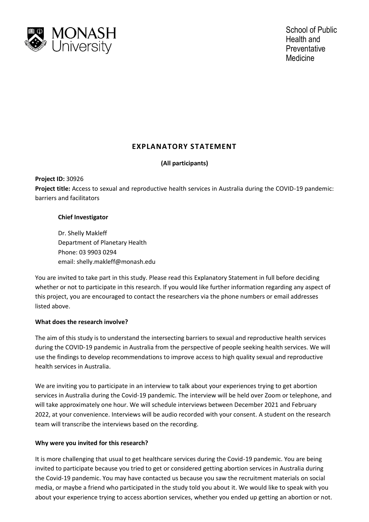

# **EXPLANATORY STATEMENT**

# **(All participants)**

**Project ID:** 30926 **Project title:** Access to sexual and reproductive health services in Australia during the COVID-19 pandemic: barriers and facilitators

# **Chief Investigator**

Dr. Shelly Makleff Department of Planetary Health Phone: 03 9903 0294 email: shelly.makleff@monash.edu

You are invited to take part in this study. Please read this Explanatory Statement in full before deciding whether or not to participate in this research. If you would like further information regarding any aspect of this project, you are encouraged to contact the researchers via the phone numbers or email addresses listed above.

# **What does the research involve?**

The aim of this study is to understand the intersecting barriers to sexual and reproductive health services during the COVID-19 pandemic in Australia from the perspective of people seeking health services. We will use the findings to develop recommendations to improve access to high quality sexual and reproductive health services in Australia.

We are inviting you to participate in an interview to talk about your experiences trying to get abortion services in Australia during the Covid-19 pandemic. The interview will be held over Zoom or telephone, and will take approximately one hour. We will schedule interviews between December 2021 and February 2022, at your convenience. Interviews will be audio recorded with your consent. A student on the research team will transcribe the interviews based on the recording.

# **Why were you invited for this research?**

It is more challenging that usual to get healthcare services during the Covid-19 pandemic. You are being invited to participate because you tried to get or considered getting abortion services in Australia during the Covid-19 pandemic. You may have contacted us because you saw the recruitment materials on social media, or maybe a friend who participated in the study told you about it. We would like to speak with you about your experience trying to access abortion services, whether you ended up getting an abortion or not.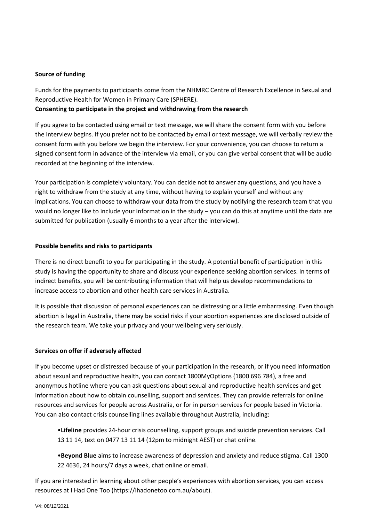#### **Source of funding**

Funds for the payments to participants come from the NHMRC Centre of Research Excellence in Sexual and Reproductive Health for Women in Primary Care (SPHERE). **Consenting to participate in the project and withdrawing from the research**

If you agree to be contacted using email or text message, we will share the consent form with you before the interview begins. If you prefer not to be contacted by email or text message, we will verbally review the consent form with you before we begin the interview. For your convenience, you can choose to return a signed consent form in advance of the interview via email, or you can give verbal consent that will be audio recorded at the beginning of the interview.

Your participation is completely voluntary. You can decide not to answer any questions, and you have a right to withdraw from the study at any time, without having to explain yourself and without any implications. You can choose to withdraw your data from the study by notifying the research team that you would no longer like to include your information in the study – you can do this at anytime until the data are submitted for publication (usually 6 months to a year after the interview).

#### **Possible benefits and risks to participants**

There is no direct benefit to you for participating in the study. A potential benefit of participation in this study is having the opportunity to share and discuss your experience seeking abortion services. In terms of indirect benefits, you will be contributing information that will help us develop recommendations to increase access to abortion and other health care services in Australia.

It is possible that discussion of personal experiences can be distressing or a little embarrassing. Even though abortion is legal in Australia, there may be social risks if your abortion experiences are disclosed outside of the research team. We take your privacy and your wellbeing very seriously.

#### **Services on offer if adversely affected**

If you become upset or distressed because of your participation in the research, or if you need information about sexual and reproductive health, you can contact 1800MyOptions (1800 696 784), a free and anonymous hotline where you can ask questions about sexual and reproductive health services and get information about how to obtain counselling, support and services. They can provide referrals for online resources and services for people across Australia, or for in person services for people based in Victoria. You can also contact crisis counselling lines available throughout Australia, including:

•**Lifeline** provides 24-hour crisis counselling, support groups and suicide prevention services. Call 13 11 14, text on 0477 13 11 14 (12pm to midnight AEST) or chat online.

•**Beyond Blue** aims to increase awareness of depression and anxiety and reduce stigma. Call 1300 22 4636, 24 hours/7 days a week, chat online or email.

If you are interested in learning about other people's experiences with abortion services, you can access resources at I Had One Too (https://ihadonetoo.com.au/about).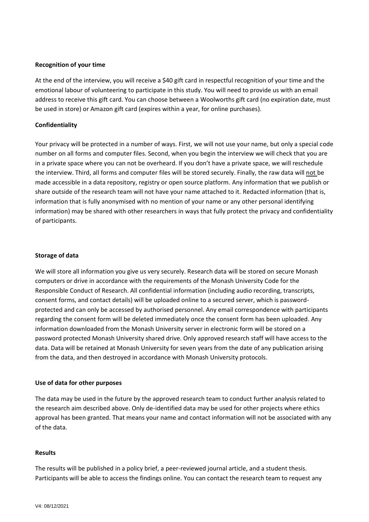#### **Recognition of your time**

At the end of the interview, you will receive a \$40 gift card in respectful recognition of your time and the emotional labour of volunteering to participate in this study. You will need to provide us with an email address to receive this gift card. You can choose between a Woolworths gift card (no expiration date, must be used in store) or Amazon gift card (expires within a year, for online purchases).

#### **Confidentiality**

Your privacy will be protected in a number of ways. First, we will not use your name, but only a special code number on all forms and computer files. Second, when you begin the interview we will check that you are in a private space where you can not be overheard. If you don't have a private space, we will reschedule the interview. Third, all forms and computer files will be stored securely. Finally, the raw data will not be made accessible in a data repository, registry or open source platform. Any information that we publish or share outside of the research team will not have your name attached to it. Redacted information (that is, information that is fully anonymised with no mention of your name or any other personal identifying information) may be shared with other researchers in ways that fully protect the privacy and confidentiality of participants.

#### **Storage of data**

We will store all information you give us very securely. Research data will be stored on secure Monash computers or drive in accordance with the requirements of the Monash University Code for the Responsible Conduct of Research. All confidential information (including audio recording, transcripts, consent forms, and contact details) will be uploaded online to a secured server, which is passwordprotected and can only be accessed by authorised personnel. Any email correspondence with participants regarding the consent form will be deleted immediately once the consent form has been uploaded. Any information downloaded from the Monash University server in electronic form will be stored on a password protected Monash University shared drive. Only approved research staff will have access to the data. Data will be retained at Monash University for seven years from the date of any publication arising from the data, and then destroyed in accordance with Monash University protocols.

#### **Use of data for other purposes**

The data may be used in the future by the approved research team to conduct further analysis related to the research aim described above. Only de-identified data may be used for other projects where ethics approval has been granted. That means your name and contact information will not be associated with any of the data.

#### **Results**

The results will be published in a policy brief, a peer-reviewed journal article, and a student thesis. Participants will be able to access the findings online. You can contact the research team to request any